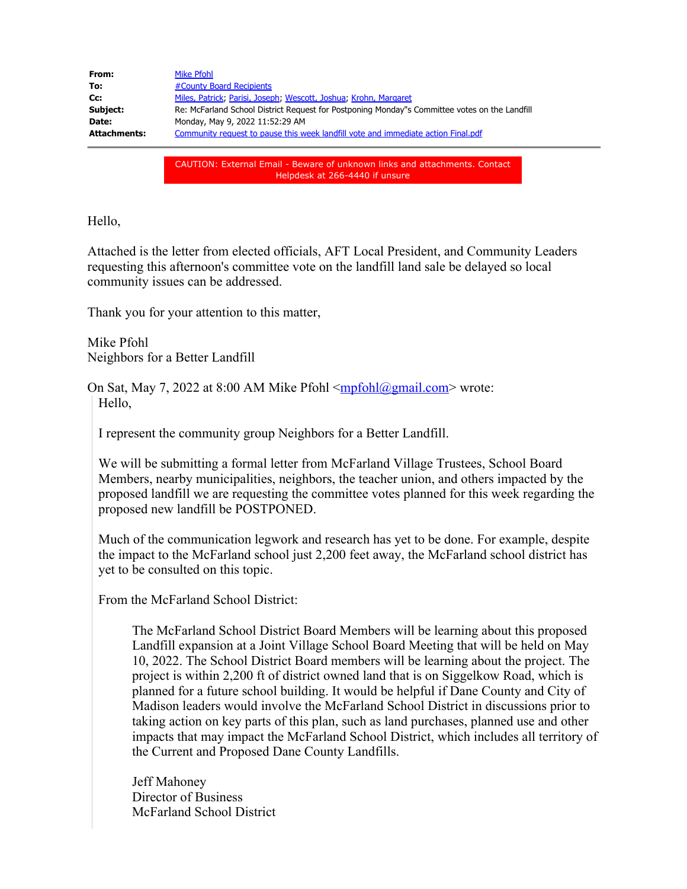| From:               | Mike Pfohl                                                                                    |
|---------------------|-----------------------------------------------------------------------------------------------|
| To:                 | #County Board Recipients                                                                      |
| Cc:                 | Miles, Patrick, Parisi, Joseph, Wescott, Joshua, Krohn, Margaret                              |
| Subject:            | Re: McFarland School District Request for Postponing Monday"s Committee votes on the Landfill |
| Date:               | Monday, May 9, 2022 11:52:29 AM                                                               |
| <b>Attachments:</b> | Community request to pause this week landfill vote and immediate action Final.pdf             |
|                     |                                                                                               |
|                     |                                                                                               |

CAUTION: External Email - Beware of unknown links and attachments. Contact Helpdesk at 266-4440 if unsure

Hello,

Attached is the letter from elected officials, AFT Local President, and Community Leaders requesting this afternoon's committee vote on the landfill land sale be delayed so local community issues can be addressed.

Thank you for your attention to this matter,

Mike Pfohl Neighbors for a Better Landfill

On Sat, May 7, 2022 at 8:00 AM Mike Pfohl [<mpfohl@gmail.com](mailto:mpfohl@gmail.com)> wrote: Hello,

I represent the community group Neighbors for a Better Landfill.

We will be submitting a formal letter from McFarland Village Trustees, School Board Members, nearby municipalities, neighbors, the teacher union, and others impacted by the proposed landfill we are requesting the committee votes planned for this week regarding the proposed new landfill be POSTPONED.

Much of the communication legwork and research has yet to be done. For example, despite the impact to the McFarland school just 2,200 feet away, the McFarland school district has yet to be consulted on this topic.

From the McFarland School District:

The McFarland School District Board Members will be learning about this proposed Landfill expansion at a Joint Village School Board Meeting that will be held on May 10, 2022. The School District Board members will be learning about the project. The project is within 2,200 ft of district owned land that is on Siggelkow Road, which is planned for a future school building. It would be helpful if Dane County and City of Madison leaders would involve the McFarland School District in discussions prior to taking action on key parts of this plan, such as land purchases, planned use and other impacts that may impact the McFarland School District, which includes all territory of the Current and Proposed Dane County Landfills.

Jeff Mahoney Director of Business McFarland School District